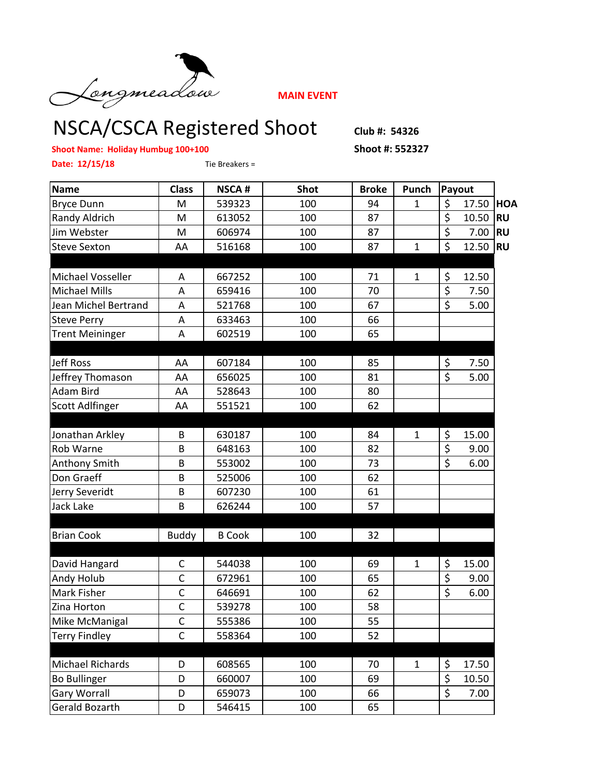

**MAIN EVENT**

## NSCA/CSCA Registered Shoot **Club #: 54326**

**Shoot Name: Holiday Humbug 100+100 Shoot #: 552327**

**Date: 12/15/18** Tie Breakers =

| <b>Name</b>            | <b>Class</b> | <b>NSCA#</b>  | <b>Shot</b> | <b>Broke</b> | Punch        |                        | Payout |            |
|------------------------|--------------|---------------|-------------|--------------|--------------|------------------------|--------|------------|
| <b>Bryce Dunn</b>      | M            | 539323        | 100         | 94           | $\mathbf{1}$ | \$                     | 17.50  | <b>HOA</b> |
| Randy Aldrich          | M            | 613052        | 100         | 87           |              | $\overline{\varsigma}$ | 10.50  | <b>RU</b>  |
| Jim Webster            | M            | 606974        | 100         | 87           |              | \$                     | 7.00   | <b>RU</b>  |
| <b>Steve Sexton</b>    | AA           | 516168        | 100         | 87           | $\mathbf{1}$ | $\overline{\xi}$       | 12.50  | <b>RU</b>  |
|                        |              |               |             |              |              |                        |        |            |
| Michael Vosseller      | Α            | 667252        | 100         | 71           | $\mathbf{1}$ | \$                     | 12.50  |            |
| <b>Michael Mills</b>   | A            | 659416        | 100         | 70           |              | \$                     | 7.50   |            |
| Jean Michel Bertrand   | A            | 521768        | 100         | 67           |              | $\overline{\xi}$       | 5.00   |            |
| <b>Steve Perry</b>     | Α            | 633463        | 100         | 66           |              |                        |        |            |
| <b>Trent Meininger</b> | A            | 602519        | 100         | 65           |              |                        |        |            |
|                        |              |               |             |              |              |                        |        |            |
| <b>Jeff Ross</b>       | AA           | 607184        | 100         | 85           |              | \$                     | 7.50   |            |
| Jeffrey Thomason       | AA           | 656025        | 100         | 81           |              | $\overline{\xi}$       | 5.00   |            |
| Adam Bird              | AA           | 528643        | 100         | 80           |              |                        |        |            |
| <b>Scott Adlfinger</b> | AA           | 551521        | 100         | 62           |              |                        |        |            |
|                        |              |               |             |              |              |                        |        |            |
| Jonathan Arkley        | B            | 630187        | 100         | 84           | $\mathbf{1}$ | \$                     | 15.00  |            |
| Rob Warne              | B            | 648163        | 100         | 82           |              | \$                     | 9.00   |            |
| <b>Anthony Smith</b>   | B            | 553002        | 100         | 73           |              | $\overline{\xi}$       | 6.00   |            |
| Don Graeff             | B            | 525006        | 100         | 62           |              |                        |        |            |
| Jerry Severidt         | B            | 607230        | 100         | 61           |              |                        |        |            |
| <b>Jack Lake</b>       | B            | 626244        | 100         | 57           |              |                        |        |            |
|                        |              |               |             |              |              |                        |        |            |
| <b>Brian Cook</b>      | <b>Buddy</b> | <b>B</b> Cook | 100         | 32           |              |                        |        |            |
|                        |              |               |             |              |              |                        |        |            |
| David Hangard          | C            | 544038        | 100         | 69           | $\mathbf{1}$ | \$                     | 15.00  |            |
| Andy Holub             | $\mathsf{C}$ | 672961        | 100         | 65           |              | \$                     | 9.00   |            |
| Mark Fisher            | $\mathsf{C}$ | 646691        | 100         | 62           |              | $\overline{\xi}$       | 6.00   |            |
| Zina Horton            | $\mathsf{C}$ | 539278        | 100         | 58           |              |                        |        |            |
| Mike McManigal         | $\mathsf C$  | 555386        | 100         | 55           |              |                        |        |            |
| <b>Terry Findley</b>   | $\mathsf{C}$ | 558364        | 100         | 52           |              |                        |        |            |
|                        |              |               |             |              |              |                        |        |            |
| Michael Richards       | D            | 608565        | 100         | 70           | $\mathbf{1}$ | \$                     | 17.50  |            |
| <b>Bo Bullinger</b>    | D            | 660007        | 100         | 69           |              | \$                     | 10.50  |            |
| <b>Gary Worrall</b>    | D            | 659073        | 100         | 66           |              | \$                     | 7.00   |            |
| Gerald Bozarth         | D            | 546415        | 100         | 65           |              |                        |        |            |